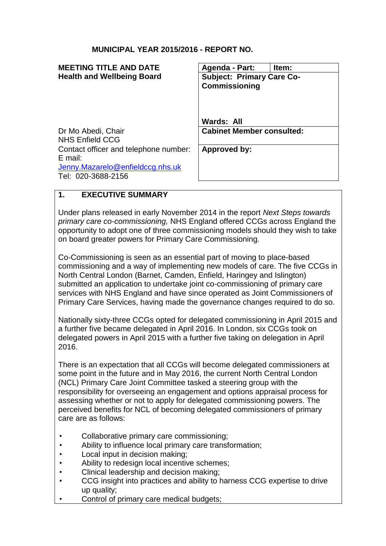## **MUNICIPAL YEAR 2015/2016 - REPORT NO.**

| Agenda - Part:                   | Item: |
|----------------------------------|-------|
| <b>Subject: Primary Care Co-</b> |       |
| <b>Commissioning</b>             |       |
|                                  |       |
|                                  |       |
|                                  |       |
| Wards: All                       |       |
| <b>Cabinet Member consulted:</b> |       |
|                                  |       |
| Approved by:                     |       |
|                                  |       |
|                                  |       |
|                                  |       |
|                                  |       |

## **1. EXECUTIVE SUMMARY**

Under plans released in early November 2014 in the report *Next Steps towards primary care co-commissioning,* NHS England offered CCGs across England the opportunity to adopt one of three commissioning models should they wish to take on board greater powers for Primary Care Commissioning.

Co-Commissioning is seen as an essential part of moving to place-based commissioning and a way of implementing new models of care. The five CCGs in North Central London (Barnet, Camden, Enfield, Haringey and Islington) submitted an application to undertake joint co-commissioning of primary care services with NHS England and have since operated as Joint Commissioners of Primary Care Services, having made the governance changes required to do so.

Nationally sixty-three CCGs opted for delegated commissioning in April 2015 and a further five became delegated in April 2016. In London, six CCGs took on delegated powers in April 2015 with a further five taking on delegation in April 2016.

There is an expectation that all CCGs will become delegated commissioners at some point in the future and in May 2016, the current North Central London (NCL) Primary Care Joint Committee tasked a steering group with the responsibility for overseeing an engagement and options appraisal process for assessing whether or not to apply for delegated commissioning powers. The perceived benefits for NCL of becoming delegated commissioners of primary care are as follows:

- Collaborative primary care commissioning;
- Ability to influence local primary care transformation;
- Local input in decision making;
- Ability to redesign local incentive schemes;
- Clinical leadership and decision making;
- CCG insight into practices and ability to harness CCG expertise to drive up quality;
- Control of primary care medical budgets;